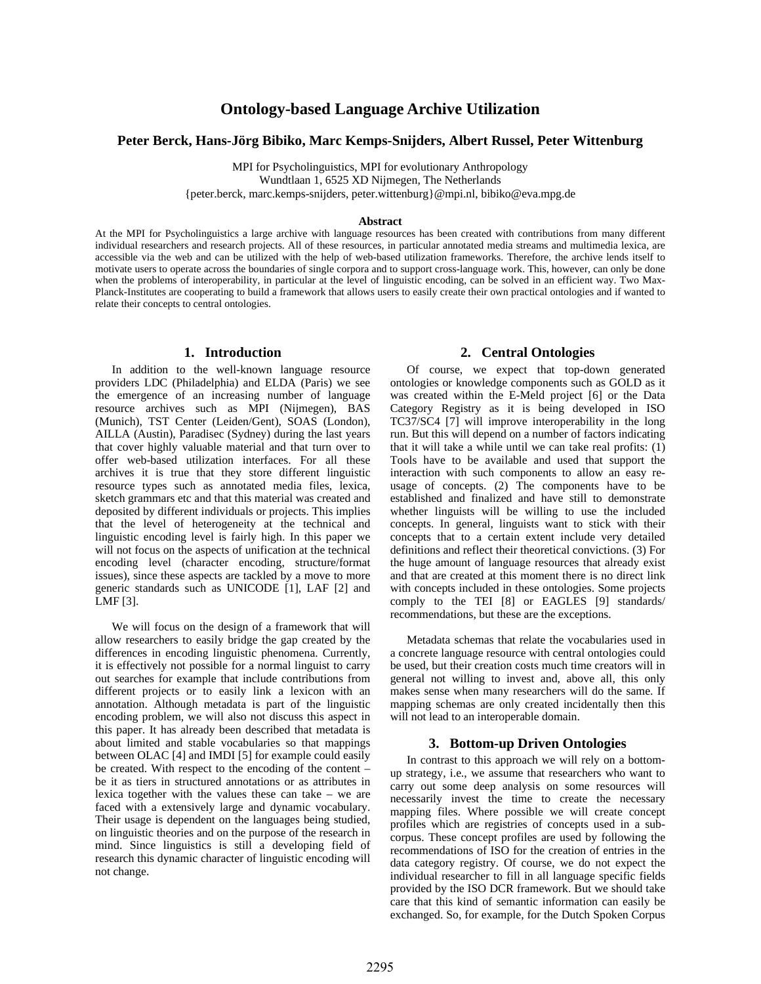# **Ontology-based Language Archive Utilization**

### **Peter Berck, Hans-Jörg Bibiko, Marc Kemps-Snijders, Albert Russel, Peter Wittenburg**

MPI for Psycholinguistics, MPI for evolutionary Anthropology

Wundtlaan 1, 6525 XD Nijmegen, The Netherlands

{peter.berck, marc.kemps-snijders, peter.wittenburg}@mpi.nl, bibiko@eva.mpg.de

#### **Abstract**

At the MPI for Psycholinguistics a large archive with language resources has been created with contributions from many different individual researchers and research projects. All of these resources, in particular annotated media streams and multimedia lexica, are accessible via the web and can be utilized with the help of web-based utilization frameworks. Therefore, the archive lends itself to motivate users to operate across the boundaries of single corpora and to support cross-language work. This, however, can only be done when the problems of interoperability, in particular at the level of linguistic encoding, can be solved in an efficient way. Two Max-Planck-Institutes are cooperating to build a framework that allows users to easily create their own practical ontologies and if wanted to relate their concepts to central ontologies.

#### **1. Introduction**

In addition to the well-known language resource providers LDC (Philadelphia) and ELDA (Paris) we see the emergence of an increasing number of language resource archives such as MPI (Nijmegen), BAS (Munich), TST Center (Leiden/Gent), SOAS (London), AILLA (Austin), Paradisec (Sydney) during the last years that cover highly valuable material and that turn over to offer web-based utilization interfaces. For all these archives it is true that they store different linguistic resource types such as annotated media files, lexica, sketch grammars etc and that this material was created and deposited by different individuals or projects. This implies that the level of heterogeneity at the technical and linguistic encoding level is fairly high. In this paper we will not focus on the aspects of unification at the technical encoding level (character encoding, structure/format issues), since these aspects are tackled by a move to more generic standards such as UNICODE [1], LAF [2] and LMF [3].

We will focus on the design of a framework that will allow researchers to easily bridge the gap created by the differences in encoding linguistic phenomena. Currently, it is effectively not possible for a normal linguist to carry out searches for example that include contributions from different projects or to easily link a lexicon with an annotation. Although metadata is part of the linguistic encoding problem, we will also not discuss this aspect in this paper. It has already been described that metadata is about limited and stable vocabularies so that mappings between OLAC [4] and IMDI [5] for example could easily be created. With respect to the encoding of the content – be it as tiers in structured annotations or as attributes in lexica together with the values these can take – we are faced with a extensively large and dynamic vocabulary. Their usage is dependent on the languages being studied, on linguistic theories and on the purpose of the research in mind. Since linguistics is still a developing field of research this dynamic character of linguistic encoding will not change.

#### **2. Central Ontologies**

Of course, we expect that top-down generated ontologies or knowledge components such as GOLD as it was created within the E-Meld project [6] or the Data Category Registry as it is being developed in ISO TC37/SC4 [7] will improve interoperability in the long run. But this will depend on a number of factors indicating that it will take a while until we can take real profits: (1) Tools have to be available and used that support the interaction with such components to allow an easy reusage of concepts. (2) The components have to be established and finalized and have still to demonstrate whether linguists will be willing to use the included concepts. In general, linguists want to stick with their concepts that to a certain extent include very detailed definitions and reflect their theoretical convictions. (3) For the huge amount of language resources that already exist and that are created at this moment there is no direct link with concepts included in these ontologies. Some projects comply to the TEI [8] or EAGLES [9] standards/ recommendations, but these are the exceptions.

Metadata schemas that relate the vocabularies used in a concrete language resource with central ontologies could be used, but their creation costs much time creators will in general not willing to invest and, above all, this only makes sense when many researchers will do the same. If mapping schemas are only created incidentally then this will not lead to an interoperable domain.

#### **3. Bottom-up Driven Ontologies**

In contrast to this approach we will rely on a bottomup strategy, i.e., we assume that researchers who want to carry out some deep analysis on some resources will necessarily invest the time to create the necessary mapping files. Where possible we will create concept profiles which are registries of concepts used in a subcorpus. These concept profiles are used by following the recommendations of ISO for the creation of entries in the data category registry. Of course, we do not expect the individual researcher to fill in all language specific fields provided by the ISO DCR framework. But we should take care that this kind of semantic information can easily be exchanged. So, for example, for the Dutch Spoken Corpus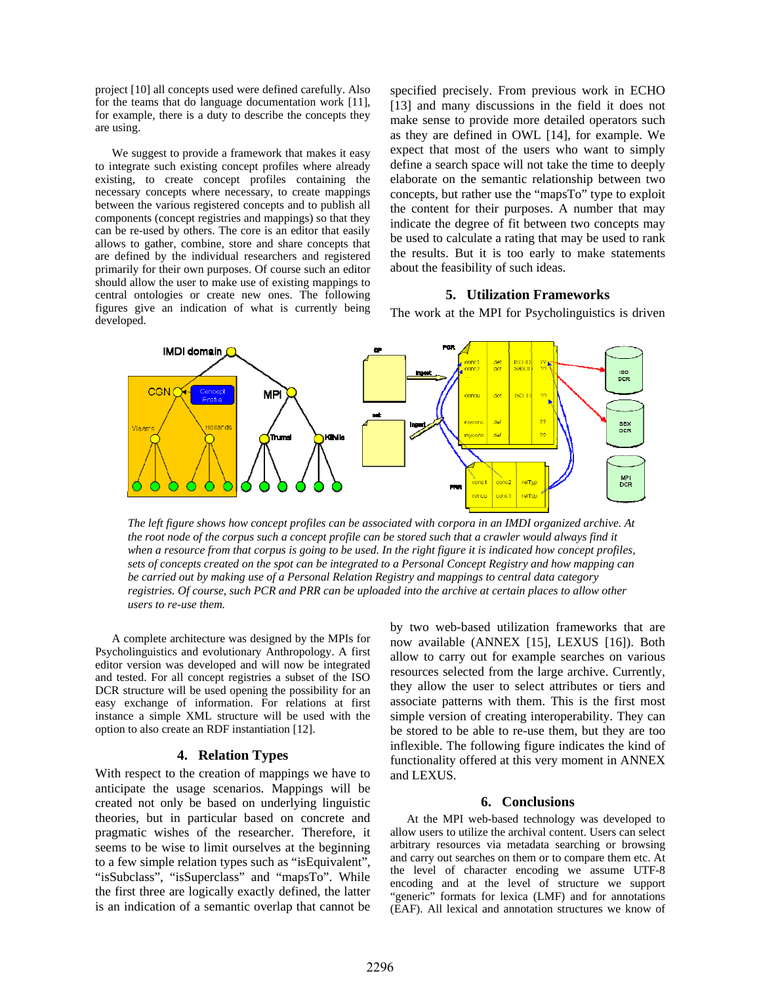project [10] all concepts used were defined carefully. Also for the teams that do language documentation work [11], for example, there is a duty to describe the concepts they are using.

We suggest to provide a framework that makes it easy to integrate such existing concept profiles where already existing, to create concept profiles containing the necessary concepts where necessary, to create mappings between the various registered concepts and to publish all components (concept registries and mappings) so that they can be re-used by others. The core is an editor that easily allows to gather, combine, store and share concepts that are defined by the individual researchers and registered primarily for their own purposes. Of course such an editor should allow the user to make use of existing mappings to central ontologies or create new ones. The following figures give an indication of what is currently being developed.

specified precisely. From previous work in ECHO [13] and many discussions in the field it does not make sense to provide more detailed operators such as they are defined in OWL [14], for example. We expect that most of the users who want to simply define a search space will not take the time to deeply elaborate on the semantic relationship between two concepts, but rather use the "mapsTo" type to exploit the content for their purposes. A number that may indicate the degree of fit between two concepts may be used to calculate a rating that may be used to rank the results. But it is too early to make statements about the feasibility of such ideas.

### **5. Utilization Frameworks**

The work at the MPI for Psycholinguistics is driven



*The left figure shows how concept profiles can be associated with corpora in an IMDI organized archive. At the root node of the corpus such a concept profile can be stored such that a crawler would always find it when a resource from that corpus is going to be used. In the right figure it is indicated how concept profiles, sets of concepts created on the spot can be integrated to a Personal Concept Registry and how mapping can be carried out by making use of a Personal Relation Registry and mappings to central data category registries. Of course, such PCR and PRR can be uploaded into the archive at certain places to allow other users to re-use them.* 

A complete architecture was designed by the MPIs for Psycholinguistics and evolutionary Anthropology. A first editor version was developed and will now be integrated and tested. For all concept registries a subset of the ISO DCR structure will be used opening the possibility for an easy exchange of information. For relations at first instance a simple XML structure will be used with the option to also create an RDF instantiation [12].

### **4. Relation Types**

With respect to the creation of mappings we have to anticipate the usage scenarios. Mappings will be created not only be based on underlying linguistic theories, but in particular based on concrete and pragmatic wishes of the researcher. Therefore, it seems to be wise to limit ourselves at the beginning to a few simple relation types such as "isEquivalent", "isSubclass", "isSuperclass" and "mapsTo". While the first three are logically exactly defined, the latter is an indication of a semantic overlap that cannot be

by two web-based utilization frameworks that are now available (ANNEX [15], LEXUS [16]). Both allow to carry out for example searches on various resources selected from the large archive. Currently, they allow the user to select attributes or tiers and associate patterns with them. This is the first most simple version of creating interoperability. They can be stored to be able to re-use them, but they are too inflexible. The following figure indicates the kind of functionality offered at this very moment in ANNEX and LEXUS.

## **6. Conclusions**

At the MPI web-based technology was developed to allow users to utilize the archival content. Users can select arbitrary resources via metadata searching or browsing and carry out searches on them or to compare them etc. At the level of character encoding we assume UTF-8 encoding and at the level of structure we support "generic" formats for lexica (LMF) and for annotations (EAF). All lexical and annotation structures we know of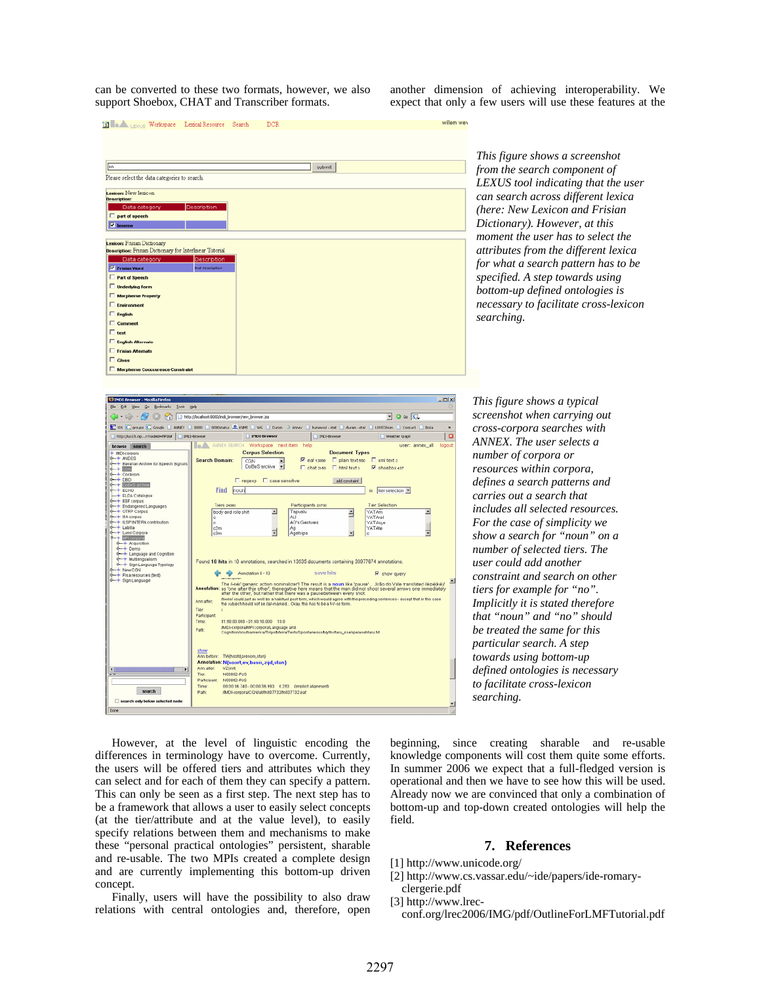can be converted to these two formats, however, we also support Shoebox, CHAT and Transcriber formats.

another dimension of achieving interoperability. We expect that only a few users will use these features at the



*This figure shows a screenshot from the search component of LEXUS tool indicating that the user can search across different lexica (here: New Lexicon and Frisian Dictionary). However, at this moment the user has to select the attributes from the different lexica for what a search pattern has to be specified. A step towards using bottom-up defined ontologies is necessary to facilitate cross-lexicon searching.* 

| <b>C IMDI</b> Browser - Mozilla Firefox                                                                                                      |                                                                                                                                                                                                                                                                                                                  |                                                                                                                                                                                                        |                    |                       |                         | $   x$                    |  |
|----------------------------------------------------------------------------------------------------------------------------------------------|------------------------------------------------------------------------------------------------------------------------------------------------------------------------------------------------------------------------------------------------------------------------------------------------------------------|--------------------------------------------------------------------------------------------------------------------------------------------------------------------------------------------------------|--------------------|-----------------------|-------------------------|---------------------------|--|
| Go.<br><b>Bookmarks</b><br>Took<br>Elo<br>Edk<br>Help                                                                                        |                                                                                                                                                                                                                                                                                                                  |                                                                                                                                                                                                        |                    |                       |                         |                           |  |
| $Q \omega$<br>http://localhost:0000/indi_browser/new_browser.jsp                                                                             |                                                                                                                                                                                                                                                                                                                  |                                                                                                                                                                                                        |                    |                       |                         |                           |  |
| C 101 C groups C Goode   ANNEX   0000   0000 AM CANNEL   WG   Durish 2 Annex   hunsered-stat   durish-stat<br>LL007/man Corpust 10/cka<br>10 |                                                                                                                                                                                                                                                                                                                  |                                                                                                                                                                                                        |                    |                       |                         |                           |  |
| http://kn:15.npr?nodeid=MP36#                                                                                                                | 1 IMDI-Browser                                                                                                                                                                                                                                                                                                   | <b>IMDI-Browser</b>                                                                                                                                                                                    | IMD5-Browser       |                       | Weather Graph           | $\Box$                    |  |
| browse search<br>+ IMDI-corpora                                                                                                              |                                                                                                                                                                                                                                                                                                                  | <b>MALA ANNEX SEARCH Workspace next item help</b><br><b>Corpus Selection</b>                                                                                                                           |                    | <b>Document Types</b> |                         | user: annex all<br>logout |  |
| $\rightarrow$ ANDES                                                                                                                          | <b>Search Domain:</b>                                                                                                                                                                                                                                                                                            | CGN<br>×                                                                                                                                                                                               | $\nabla$ eaf 13098 | plain text sso        | $\Box$ xml text a       |                           |  |
| - Bavarian Archive for Speech Signals<br>$-+ 0000$                                                                                           |                                                                                                                                                                                                                                                                                                                  | DoBeS archive<br>$\vert \mathbf{v} \vert$                                                                                                                                                              | El chatorea        | Fi html text s        | Shoebox 437             |                           |  |
| <b>4</b> Coralrom<br>$-+$ DBD                                                                                                                |                                                                                                                                                                                                                                                                                                                  | $\Box$ regexp $\Box$ case sensitive                                                                                                                                                                    |                    | add constraint        |                         |                           |  |
| $-$ Dopes schire                                                                                                                             |                                                                                                                                                                                                                                                                                                                  |                                                                                                                                                                                                        |                    |                       |                         |                           |  |
| $+$ ECHO<br>- ELDA Catalogue                                                                                                                 | Find                                                                                                                                                                                                                                                                                                             | houn                                                                                                                                                                                                   |                    |                       | tier selection<br>in.   |                           |  |
| + ESF corpus<br>-+ Endangered Languages                                                                                                      | Tiers 24083                                                                                                                                                                                                                                                                                                      |                                                                                                                                                                                                        | Participants 23730 |                       | <b>Tier Selection</b>   |                           |  |
| + GTRP Corpus<br><b>0-+ IFA corpus</b>                                                                                                       | ۰                                                                                                                                                                                                                                                                                                                | $\overline{\phantom{a}}$<br>body and role shift                                                                                                                                                        | Tapualu<br>ALI     | Ξ                     | YATAm<br><b>YATArel</b> |                           |  |
| + ILSP INTERA contribution                                                                                                                   | e                                                                                                                                                                                                                                                                                                                |                                                                                                                                                                                                        | AO's Gestures      |                       | YATAsyn                 |                           |  |
| d-+ Labita<br>+ Lund Corpora                                                                                                                 | e2m<br>c3m                                                                                                                                                                                                                                                                                                       |                                                                                                                                                                                                        | Aq<br>Agetsipe     | v                     | YATAte                  |                           |  |
| → MPI corpora<br>$-$ + Acquisition                                                                                                           |                                                                                                                                                                                                                                                                                                                  |                                                                                                                                                                                                        |                    |                       |                         |                           |  |
| $-$ + Demo<br>+ Language and Cognition                                                                                                       |                                                                                                                                                                                                                                                                                                                  |                                                                                                                                                                                                        |                    |                       |                         |                           |  |
| + Multiingualism                                                                                                                             |                                                                                                                                                                                                                                                                                                                  | Found 10 hits in 10 annotations, searched in 13535 documents containing 30977674 annotations.                                                                                                          |                    |                       |                         |                           |  |
| + Sign Language Typology<br>6-+ New CON                                                                                                      |                                                                                                                                                                                                                                                                                                                  | Annotation 0 - 10                                                                                                                                                                                      | save hits          |                       |                         |                           |  |
| + Pisa resources (test)<br>+ Sign Language                                                                                                   |                                                                                                                                                                                                                                                                                                                  | ⇔<br><b>VEHICLIBUD</b>                                                                                                                                                                                 |                    |                       | R show query            |                           |  |
|                                                                                                                                              | The /-ne/ 'generic action nominalizer1 The result is a noun like 'pause'  João do Vale translated /eipe/keV<br>Annotation: as 'one after thije other'; thenegative here means that the man did not shoot several arrows one immediately<br>after the other, but rather that there was a pausebetween every shot. |                                                                                                                                                                                                        |                    |                       |                         |                           |  |
|                                                                                                                                              | Ann after:                                                                                                                                                                                                                                                                                                       | Aweel could just as well be a habitual past form, which would agree with the preceding sentences-except that in this case<br>the subjects hould not be fial-marked Okay, this has to be a t-V-se form. |                    |                       |                         |                           |  |
|                                                                                                                                              | Tier:<br>e.<br>Participant                                                                                                                                                                                                                                                                                       |                                                                                                                                                                                                        |                    |                       |                         |                           |  |
|                                                                                                                                              | Time:                                                                                                                                                                                                                                                                                                            | 01:50:00.000 - 01:50:10.000 10.0                                                                                                                                                                       |                    |                       |                         |                           |  |
|                                                                                                                                              | Path:                                                                                                                                                                                                                                                                                                            | AMDI-corporaM/PI corpora/Language and<br>Cognition/southamerica/TiriyoMeira/Texts/SpontaneousMyths/taru_Asehpe/asehtaru.brt                                                                            |                    |                       |                         |                           |  |
|                                                                                                                                              |                                                                                                                                                                                                                                                                                                                  |                                                                                                                                                                                                        |                    |                       |                         |                           |  |
|                                                                                                                                              | show                                                                                                                                                                                                                                                                                                             |                                                                                                                                                                                                        |                    |                       |                         |                           |  |
|                                                                                                                                              |                                                                                                                                                                                                                                                                                                                  | Ann.before: TW0hoofd.prenom.stan)<br>Annotation: N(soort, ev, basis, zijd, stan)                                                                                                                       |                    |                       |                         |                           |  |
|                                                                                                                                              | Ann after:                                                                                                                                                                                                                                                                                                       | VZ (init)                                                                                                                                                                                              |                    |                       |                         |                           |  |
|                                                                                                                                              | Tier:<br>Participant:                                                                                                                                                                                                                                                                                            | N03862-PoS<br>N03862-PoS                                                                                                                                                                               |                    |                       |                         |                           |  |
| search                                                                                                                                       | Time:                                                                                                                                                                                                                                                                                                            | 00:00:36.740 - 00:00:36.993  0.263  (implicit alignment)                                                                                                                                               |                    |                       |                         |                           |  |
|                                                                                                                                              | Patho                                                                                                                                                                                                                                                                                                            | /MDI-corpora/CGN/all/m007732/In007732.eaf                                                                                                                                                              |                    |                       |                         |                           |  |
| search only below selected node                                                                                                              |                                                                                                                                                                                                                                                                                                                  |                                                                                                                                                                                                        |                    |                       |                         |                           |  |
| Done                                                                                                                                         |                                                                                                                                                                                                                                                                                                                  |                                                                                                                                                                                                        |                    |                       |                         |                           |  |

*This figure shows a typical screenshot when carrying out cross-corpora searches with ANNEX. The user selects a number of corpora or resources within corpora, defines a search patterns and carries out a search that includes all selected resources. For the case of simplicity we show a search for "noun" on a number of selected tiers. The user could add another constraint and search on other tiers for example for "no". Implicitly it is stated therefore that "noun" and "no" should be treated the same for this particular search. A step towards using bottom-up defined ontologies is necessary to facilitate cross-lexicon searching.* 

However, at the level of linguistic encoding the differences in terminology have to overcome. Currently, the users will be offered tiers and attributes which they can select and for each of them they can specify a pattern. This can only be seen as a first step. The next step has to be a framework that allows a user to easily select concepts (at the tier/attribute and at the value level), to easily specify relations between them and mechanisms to make these "personal practical ontologies" persistent, sharable and re-usable. The two MPIs created a complete design and are currently implementing this bottom-up driven concept.

Finally, users will have the possibility to also draw relations with central ontologies and, therefore, open beginning, since creating sharable and re-usable knowledge components will cost them quite some efforts. In summer 2006 we expect that a full-fledged version is operational and then we have to see how this will be used. Already now we are convinced that only a combination of bottom-up and top-down created ontologies will help the field.

### **7. References**

- [1] http://www.unicode.org/
- [2] http://www.cs.vassar.edu/~ide/papers/ide-romaryclergerie.pdf
- [3] http://www.lrec-

conf.org/lrec2006/IMG/pdf/OutlineForLMFTutorial.pdf